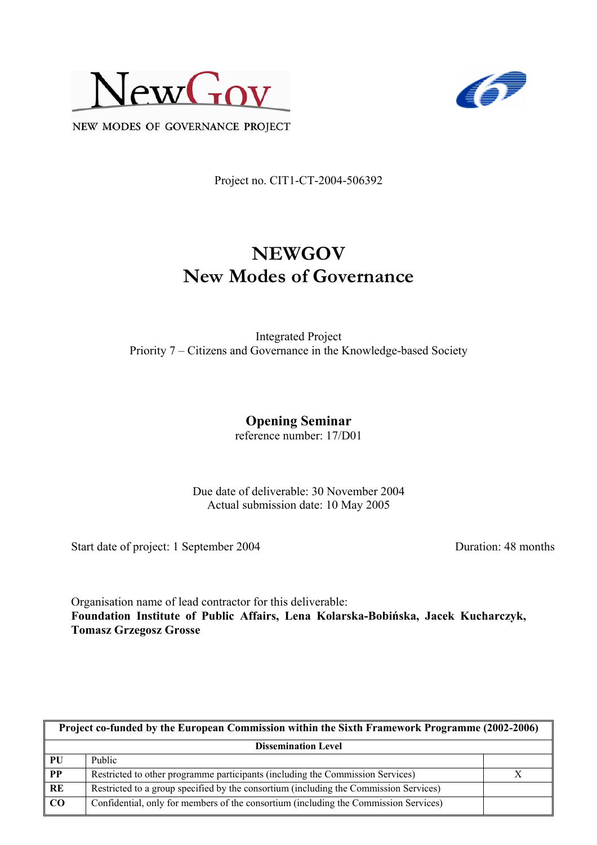



NEW MODES OF GOVERNANCE PROJECT

Project no. CIT1-CT-2004-506392

# **NEWGOV New Modes of Governance**

Integrated Project Priority 7 – Citizens and Governance in the Knowledge-based Society

# **Opening Seminar**

reference number: 17/D01

Due date of deliverable: 30 November 2004 Actual submission date: 10 May 2005

Start date of project: 1 September 2004 Duration: 48 months

Organisation name of lead contractor for this deliverable: **Foundation Institute of Public Affairs, Lena Kolarska-Bobińska, Jacek Kucharczyk, Tomasz Grzegosz Grosse** 

| Project co-funded by the European Commission within the Sixth Framework Programme (2002-2006) |                                                                                       |  |  |
|-----------------------------------------------------------------------------------------------|---------------------------------------------------------------------------------------|--|--|
| <b>Dissemination Level</b>                                                                    |                                                                                       |  |  |
| PU                                                                                            | Public                                                                                |  |  |
| $\overline{PP}$                                                                               | Restricted to other programme participants (including the Commission Services)        |  |  |
| RE                                                                                            | Restricted to a group specified by the consortium (including the Commission Services) |  |  |
| CO                                                                                            | Confidential, only for members of the consortium (including the Commission Services)  |  |  |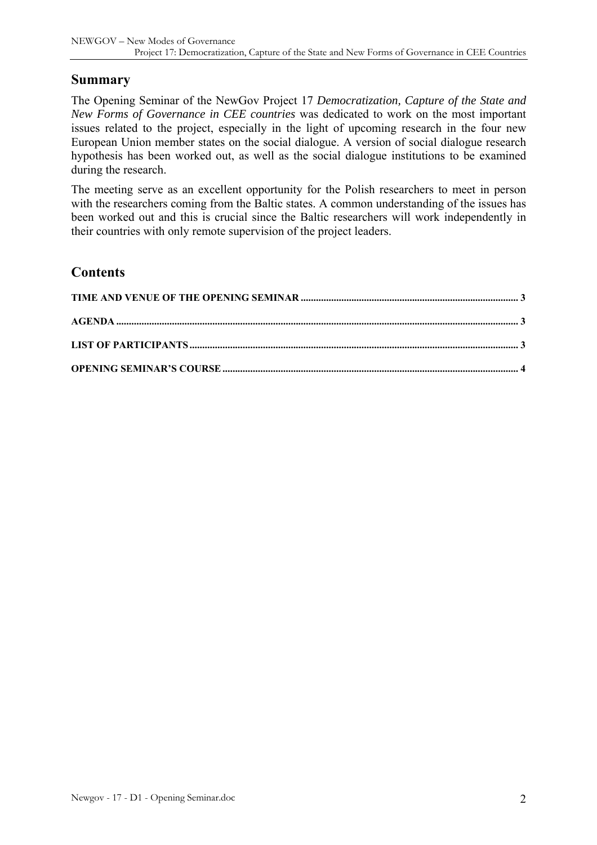#### **Summary**

The Opening Seminar of the NewGov Project 17 *Democratization, Capture of the State and New Forms of Governance in CEE countries* was dedicated to work on the most important issues related to the project, especially in the light of upcoming research in the four new European Union member states on the social dialogue. A version of social dialogue research hypothesis has been worked out, as well as the social dialogue institutions to be examined during the research.

The meeting serve as an excellent opportunity for the Polish researchers to meet in person with the researchers coming from the Baltic states. A common understanding of the issues has been worked out and this is crucial since the Baltic researchers will work independently in their countries with only remote supervision of the project leaders.

#### **Contents**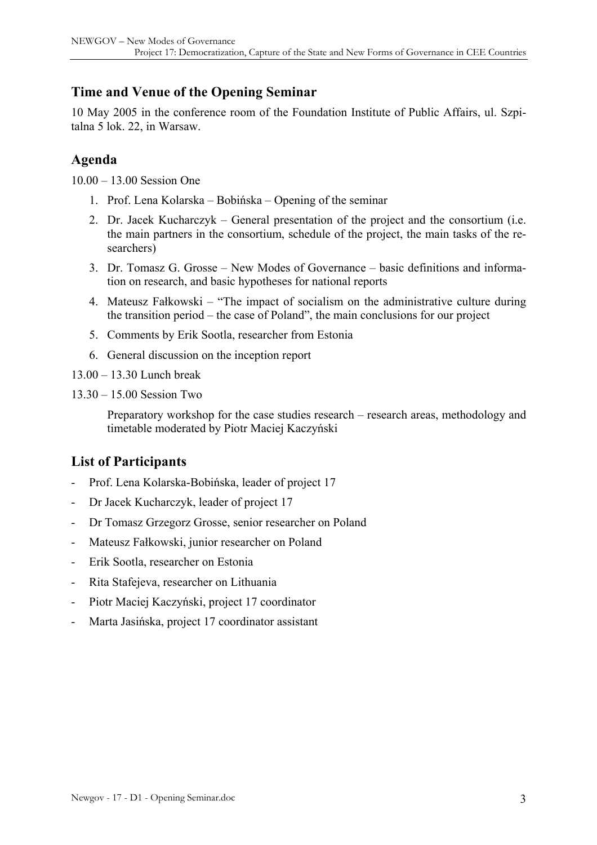#### <span id="page-2-0"></span>**Time and Venue of the Opening Seminar**

10 May 2005 in the conference room of the Foundation Institute of Public Affairs, ul. Szpitalna 5 lok. 22, in Warsaw.

#### **Agenda**

10.00 – 13.00 Session One

- 1. Prof. Lena Kolarska Bobińska Opening of the seminar
- 2. Dr. Jacek Kucharczyk General presentation of the project and the consortium (i.e. the main partners in the consortium, schedule of the project, the main tasks of the researchers)
- 3. Dr. Tomasz G. Grosse New Modes of Governance basic definitions and information on research, and basic hypotheses for national reports
- 4. Mateusz Fałkowski "The impact of socialism on the administrative culture during the transition period – the case of Poland", the main conclusions for our project
- 5. Comments by Erik Sootla, researcher from Estonia
- 6. General discussion on the inception report

13.00 – 13.30 Lunch break

13.30 – 15.00 Session Two

Preparatory workshop for the case studies research – research areas, methodology and timetable moderated by Piotr Maciej Kaczyński

## **List of Participants**

- Prof. Lena Kolarska-Bobińska, leader of project 17
- Dr Jacek Kucharczyk, leader of project 17
- Dr Tomasz Grzegorz Grosse, senior researcher on Poland
- Mateusz Fałkowski, junior researcher on Poland
- Erik Sootla, researcher on Estonia
- Rita Stafejeva, researcher on Lithuania
- Piotr Maciej Kaczyński, project 17 coordinator
- Marta Jasińska, project 17 coordinator assistant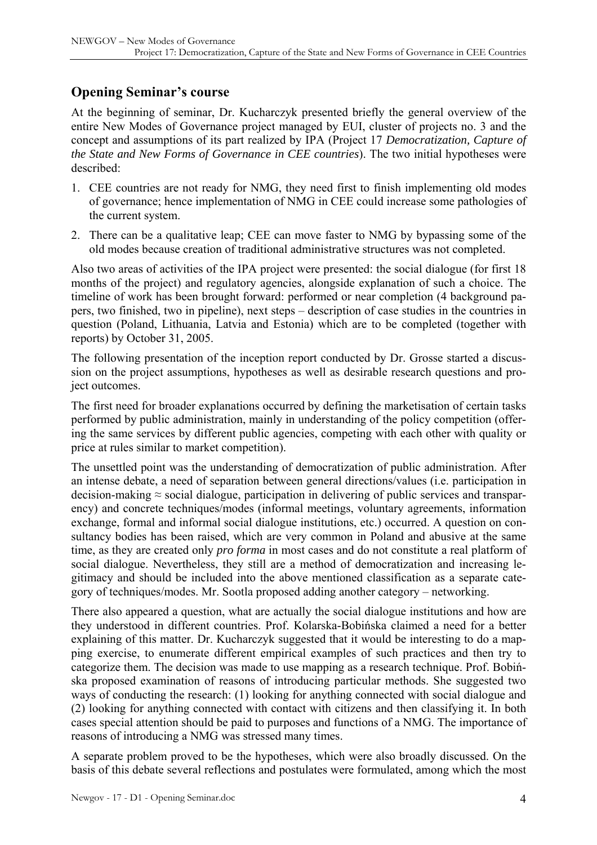### <span id="page-3-0"></span>**Opening Seminar's course**

At the beginning of seminar, Dr. Kucharczyk presented briefly the general overview of the entire New Modes of Governance project managed by EUI, cluster of projects no. 3 and the concept and assumptions of its part realized by IPA (Project 17 *Democratization, Capture of the State and New Forms of Governance in CEE countries*). The two initial hypotheses were described:

- 1. CEE countries are not ready for NMG, they need first to finish implementing old modes of governance; hence implementation of NMG in CEE could increase some pathologies of the current system.
- 2. There can be a qualitative leap; CEE can move faster to NMG by bypassing some of the old modes because creation of traditional administrative structures was not completed.

Also two areas of activities of the IPA project were presented: the social dialogue (for first 18 months of the project) and regulatory agencies, alongside explanation of such a choice. The timeline of work has been brought forward: performed or near completion (4 background papers, two finished, two in pipeline), next steps – description of case studies in the countries in question (Poland, Lithuania, Latvia and Estonia) which are to be completed (together with reports) by October 31, 2005.

The following presentation of the inception report conducted by Dr. Grosse started a discussion on the project assumptions, hypotheses as well as desirable research questions and project outcomes.

The first need for broader explanations occurred by defining the marketisation of certain tasks performed by public administration, mainly in understanding of the policy competition (offering the same services by different public agencies, competing with each other with quality or price at rules similar to market competition).

The unsettled point was the understanding of democratization of public administration. After an intense debate, a need of separation between general directions/values (i.e. participation in decision-making  $\approx$  social dialogue, participation in delivering of public services and transparency) and concrete techniques/modes (informal meetings, voluntary agreements, information exchange, formal and informal social dialogue institutions, etc.) occurred. A question on consultancy bodies has been raised, which are very common in Poland and abusive at the same time, as they are created only *pro forma* in most cases and do not constitute a real platform of social dialogue. Nevertheless, they still are a method of democratization and increasing legitimacy and should be included into the above mentioned classification as a separate category of techniques/modes. Mr. Sootla proposed adding another category – networking.

There also appeared a question, what are actually the social dialogue institutions and how are they understood in different countries. Prof. Kolarska-Bobińska claimed a need for a better explaining of this matter. Dr. Kucharczyk suggested that it would be interesting to do a mapping exercise, to enumerate different empirical examples of such practices and then try to categorize them. The decision was made to use mapping as a research technique. Prof. Bobińska proposed examination of reasons of introducing particular methods. She suggested two ways of conducting the research: (1) looking for anything connected with social dialogue and (2) looking for anything connected with contact with citizens and then classifying it. In both cases special attention should be paid to purposes and functions of a NMG. The importance of reasons of introducing a NMG was stressed many times.

A separate problem proved to be the hypotheses, which were also broadly discussed. On the basis of this debate several reflections and postulates were formulated, among which the most